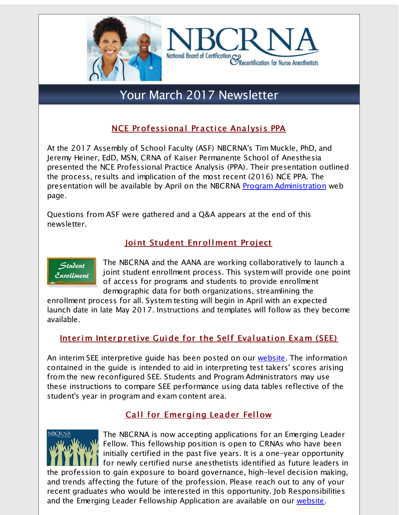



# Your March 2017 Newsletter

# NCE Professional Practice Analysis PPA

At the 2017 Assembly of School Faculty (ASF) NBCRNA's Tim Muckle, PhD, and Jeremy Heiner, EdD, MSN, CRNA of Kaiser Permanente School of Anesthesia presented the NCE Professional Practice Analysis (PPA). Their presentation outlined the process, results and implication of the most recent (2016) NCE PPA. The presentation will be available by April on the NBCRNA Program [Administration](http://r20.rs6.net/tn.jsp?f=001iRfO1fYh2kb2UKdHlkXLARLMEWHJM3ZWer2Qcj-J7aH_EbhMUNvclUkPOWVPy7xZtb4qM0SRsGn4I5qGx9sPPw3YgtHvyv5wSru9QXIXPpFnS8x-OFc9hGw89_QuWUU-Yrm2QEEMwSeG9_N8xb5cyZUYR8dBzvDBkR3dXN8dTtIgDDfqqOQRIBKysSkidhMloWzz-puLMISjZjhcHZH9vdqqJb4CmBwUG8n6f7494MI=&c=&ch=) web page.

Questions from ASF were gathered and a Q&A appears at the end of this newsletter.

# Joint Student Enrollment Project



The NBCRNA and the AANA are working collaboratively to launch a joint student enrollment process. This system will provide one point of access for programs and students to provide enrollment demographic data for both organizations, streamlining the

enrollment process for all. System testing will begin in April with an expected launch date in late May 2017. Instructions and templates will follow as they become available.

# Interim Interpretive Guide for the Self Evaluation Exam (SEE)

An interim SEE interpretive quide has been posted on our [website.](http://r20.rs6.net/tn.jsp?f=001iRfO1fYh2kb2UKdHlkXLARLMEWHJM3ZWer2Qcj-J7aH_EbhMUNvclUkPOWVPy7xZ5yWZcG6V_Kfl8OpHv_47tk5jNjs699gDZbZxM9naXy_yhYgpK2nSnZ00WHczKYqIZ0iG0Q_Ug3fC5GNAradENzUujyYFusG3eb1r7nPwELcvwmqAs08dnmsVf14vokGS_Gh8ZtkNq4fw0IcI8AjlSY-VfFxU3tJiLTwIUYTBHC-ttkhBc6zyA9GKIQcFCARt-eR7OmY4XT8=&c=&ch=) The information contained in the guide is intended to aid in interpreting test takers' scores arising from the new reconfigured SEE. Students and Program Administrators may use these instructions to compare SEE performance using data tables reflective of the student's year in program and exam content area.

# Call for Emerging Leader Fellow



The NBCRNA is now accepting applications for an Emerging Leader Fellow. This fellowship position is open to CRNAs who have been initially certified in the past five years. It is a one-year opportunity for newly certified nurse anesthetists identified as future leaders in

the profession to gain exposure to board governance, high-level decision making, and trends affecting the future of the profession. Please reach out to any of your recent graduates who would be interested in this opportunity. Job Responsibilities and the Emerging Leader Fellowship Application are available on our [website](http://r20.rs6.net/tn.jsp?f=001iRfO1fYh2kb2UKdHlkXLARLMEWHJM3ZWer2Qcj-J7aH_EbhMUNvclSkBeKL3Fotlzo69lhh35Z5xQu6J8gQh45S7zrZnM0dVdJcN_i6DS-nbK-WXqwu6-p23n9erZUaLMkl12rSysObhil_xcyJtOfTikXgpRfGmoSUUiP-gQBCB58D9ntyJn_AFd1YetT0GfWs5pIQRi6KI7Aa4Wse4Fg==&c=&ch=).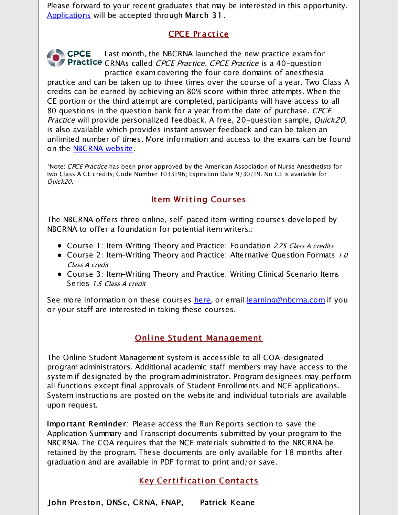Please forward to your recent graduates that may be interested in this opportunity. [Applications](http://r20.rs6.net/tn.jsp?f=001iRfO1fYh2kb2UKdHlkXLARLMEWHJM3ZWer2Qcj-J7aH_EbhMUNvclSkBeKL3Fotlzo69lhh35Z5xQu6J8gQh45S7zrZnM0dVdJcN_i6DS-nbK-WXqwu6-p23n9erZUaLMkl12rSysObhil_xcyJtOfTikXgpRfGmoSUUiP-gQBCB58D9ntyJn_AFd1YetT0GfWs5pIQRi6KI7Aa4Wse4Fg==&c=&ch=) will be accepted through March 31.

# CPCE Pr a cti ce

CPCE Last month, the NBCRNA launched the new practice exam for **Practice** CRNAs called *CPCE Practice. CPCE Practice* is a 40-question practice exam covering the four core domains of anesthesia

practice and can be taken up to three times over the course of a year. Two Class A credits can be earned by achieving an 80% score within three attempts. When the CE portion or the third attempt are completed, participants will have access to all 80 questions in the question bank for a year from the date of purchase. CPCE Practice will provide personalized feedback. A free, 20-question sample, Quick20, is also available which provides instant answer feedback and can be taken an unlimited number of times. More information and access to the exams can be found on the **[NBCRNA](http://r20.rs6.net/tn.jsp?f=001iRfO1fYh2kb2UKdHlkXLARLMEWHJM3ZWer2Qcj-J7aH_EbhMUNvclVk_BtyyQGY_bF18LOa6UfwFYawr2sPpVqXb1pQlg381qTPkBzYWc2-f3OlfT8NP6EiM4n0c399IbcOf3bVYpU4CuNzAU1WHDLQoA56vkdKu20khaACuOt_tSCxcQ4UOlFRYP3-QxNKb6MpV8zoz89rXm_fiKX778w==&c=&ch=)** website.

\*Note: CPCE Practice has been prior approved by the American Association of Nurse Anesthetists for two Class A CE credits; Code Number 1033196; Expiration Date 9/30/19. No CE is available for Quick20.

# Item Writing Courses

The NBCRNA offers three online, self-paced item-writing courses developed by NBCRNA to offer a foundation for potential item writers.:

- Course 1: Item-Writing Theory and Practice: Foundation 2.75 Class A credits
- Course 2: Item-Writing Theory and Practice: Alternative Question Formats 1.0 Class A credit
- Course 3: Item-Writing Theory and Practice: Writing Clinical Scenario Items Series 1.5 Class <sup>A</sup> credit

See more information on these courses <u>[here](http://r20.rs6.net/tn.jsp?f=001iRfO1fYh2kb2UKdHlkXLARLMEWHJM3ZWer2Qcj-J7aH_EbhMUNvclZcO48Ochl5vOhpgEQ-hIReMUZtRpK1lIpSyiXsoc2WuqGMT4FvQcRXpK9LrtmxwzvE1uEJVRo_1TUMlFUfbw9jm0hmemJksTAieizsXcmM_I2d7AVxowyuv0ISLDssovqJdDsF9FYJx0KkRiBYUdZibbJ8_21HfJpB0vOlmaf-jm9T6SzLotbU=&c=&ch=)</u>, or email <u>[learning@nbcrna.com](mailto:learning@nbcrna.com)</u> if you or your staff are interested in taking these courses.

# Online Student Management

The Online Student Management system is accessible to all COA-designated program administrators. Additional academic staff members may have access to the system if designated by the program administrator. Program designees may perform all functions except final approvals of Student Enrollments and NCE applications. System instructions are posted on the website and individual tutorials are available upon request.

Important Reminder: Please access the Run Reports section to save the Application Summary and Transcript documents submitted by your program to the NBCRNA. The COA requires that the NCE materials submitted to the NBCRNA be retained by the program. These documents are only available for 18 months after graduation and are available in PDF format to print and/or save.

# **Key Certification Contacts**

John Preston, DNSc, CRNA, FNAP, Patrick Keane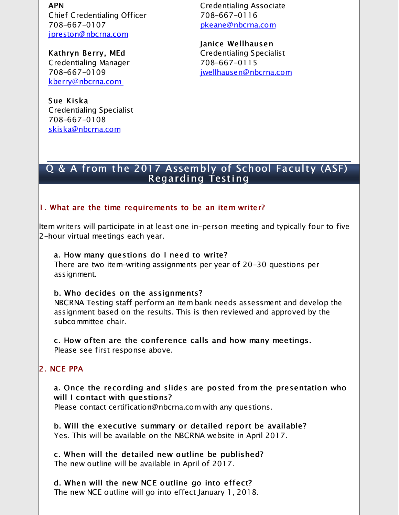APN

Chief Credentialing Officer 708-667-0107 [jpreston@nbcrna.com](mailto:jpreston@nbcrna.com)

Kathryn Berry, MEd Credentialing Manager 708-667-0109 [kberry@nbcrna.com](mailto:kberry@nbcrna.com)

Sue Kiska Credentialing Specialist 708-667-0108 [skiska@nbcrna.com](mailto:skiska@nbcrna.com)

Credentialing Associate 708-667-0116 [pkeane@nbcrna.com](http://r20.rs6.net/tn.jsp?f=001iRfO1fYh2kb2UKdHlkXLARLMEWHJM3ZWer2Qcj-J7aH_EbhMUNvclUkPOWVPy7xZFTGAY2q7_0DS8rb06lDaV0JAgQj4LMIn7CASu8sQoJVAf7Qe1X6wWssel7bXfIdqi1qPdwoEjH_SxWdnI8x78HAHs5qq-wNGYF8xElk-gFk=&c=&ch=)

Janice Wellhausen Credentialing Specialist 708-667-0115 [jwellhausen@nbcrna.com](mailto:jwellhausen@nbcrna.com)

### Q & A from the 2017 Assembly of School Faculty (ASF) Regarding Testing

#### 1. What are the time requirements to be an item writer?

Item writers will participate in at least one in-person meeting and typically four to five 2-hour virtual meetings each year.

#### a. How many questions do I need to write?

There are two item-writing assignments per year of 20-30 questions per assignment.

#### b. Who decides on the assignments?

NBCRNA Testing staff perform an item bank needs assessment and develop the assignment based on the results. This is then reviewed and approved by the subcommittee chair.

c. How often are the conference calls and how many meetings. Please see first response above.

#### 2. NCE PPA

a. Once the recording and slides are posted from the presentation who will I contact with questions?

Please contact certification@nbcrna.com with any questions.

b. Will the executive summary or detailed report be available? Yes. This will be available on the NBCRNA website in April 2017.

c. When will the detailed new outline be published? The new outline will be available in April of 2017.

d. When will the new NCE outline go into effect? The new NCE outline will go into effect January 1, 2018.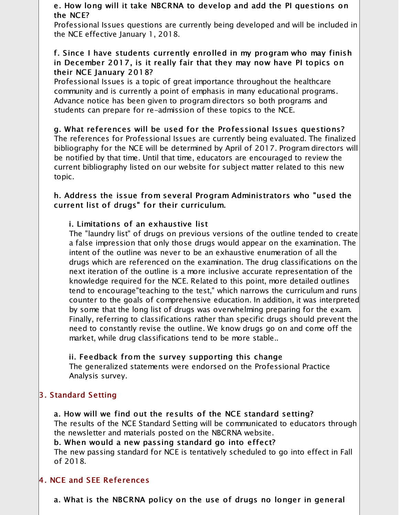#### e. How long will it take NBCRNA to develop and add the PI questions on the NCE?

Professional Issues questions are currently being developed and will be included in the NCE effective January 1, 2018.

#### f. Since I have students currently enrolled in my program who may finish in December 2017, is it really fair that they may now have PI topics on their NCE January 2018?

Professional Issues is a topic of great importance throughout the healthcare community and is currently a point of emphasis in many educational programs. Advance notice has been given to program directors so both programs and students can prepare for re-admission of these topics to the NCE.

g. What references will be used for the Professional Issues questions? The references for Professional Issues are currently being evaluated. The finalized bibliography for the NCE will be determined by April of 2017. Program directors will be notified by that time. Until that time, educators are encouraged to review the current bibliography listed on our website for subject matter related to this new topic.

#### h. Address the issue from several Program Administrators who "used the current list of drugs" for their curriculum.

#### i. Limitations of an exhaustive list

The "laundry list" of drugs on previous versions of the outline tended to create a false impression that only those drugs would appear on the examination. The intent of the outline was never to be an exhaustive enumeration of all the drugs which are referenced on the examination. The drug classifications on the next iteration of the outline is a more inclusive accurate representation of the knowledge required for the NCE. Related to this point, more detailed outlines tend to encourage"teaching to the test," which narrows the curriculum and runs counter to the goals of comprehensive education. In addition, it was interpreted by some that the long list of drugs was overwhelming preparing for the exam. Finally, referring to classifications rather than specific drugs should prevent the need to constantly revise the outline. We know drugs go on and come off the market, while drug classifications tend to be more stable..

#### ii. Feedback from the survey supporting this change

The generalized statements were endorsed on the Professional Practice Analysis survey.

# 3. Standard Setting

a. How will we find out the results of the NCE standard setting? The results of the NCE Standard Setting will be communicated to educators through the newsletter and materials posted on the NBCRNA website.

b. When would a new passing standard go into effect? The new passing standard for NCE is tentatively scheduled to go into effect in Fall of 2018.

# 4. NCE and SEE References

a. What is the NBCRNA policy on the use of drugs no longer in general